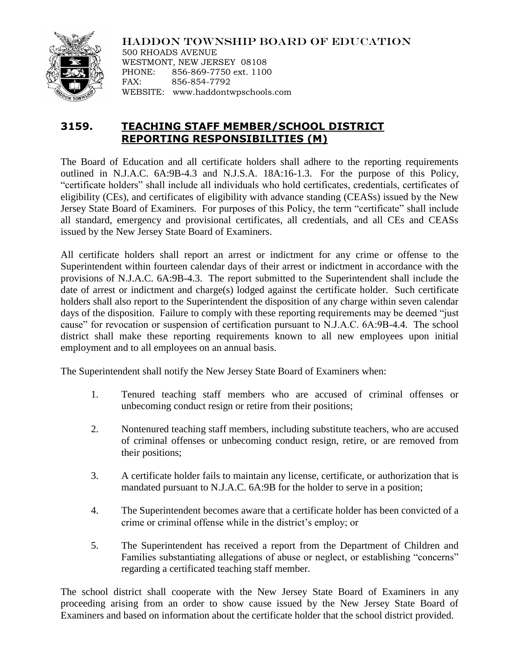

HADDON TOWNSHIP BOARD OF EDUCATION 500 RHOADS AVENUE

WESTMONT, NEW JERSEY 08108 PHONE: 856-869-7750 ext. 1100 FAX: 856-854-7792 WEBSITE: www.haddontwpschools.com

## **3159. TEACHING STAFF MEMBER/SCHOOL DISTRICT REPORTING RESPONSIBILITIES (M)**

The Board of Education and all certificate holders shall adhere to the reporting requirements outlined in N.J.A.C. 6A:9B-4.3 and N.J.S.A. 18A:16-1.3. For the purpose of this Policy, "certificate holders" shall include all individuals who hold certificates, credentials, certificates of eligibility (CEs), and certificates of eligibility with advance standing (CEASs) issued by the New Jersey State Board of Examiners. For purposes of this Policy, the term "certificate" shall include all standard, emergency and provisional certificates, all credentials, and all CEs and CEASs issued by the New Jersey State Board of Examiners.

All certificate holders shall report an arrest or indictment for any crime or offense to the Superintendent within fourteen calendar days of their arrest or indictment in accordance with the provisions of N.J.A.C. 6A:9B-4.3. The report submitted to the Superintendent shall include the date of arrest or indictment and charge(s) lodged against the certificate holder. Such certificate holders shall also report to the Superintendent the disposition of any charge within seven calendar days of the disposition. Failure to comply with these reporting requirements may be deemed "just cause" for revocation or suspension of certification pursuant to N.J.A.C. 6A:9B-4.4. The school district shall make these reporting requirements known to all new employees upon initial employment and to all employees on an annual basis.

The Superintendent shall notify the New Jersey State Board of Examiners when:

- 1. Tenured teaching staff members who are accused of criminal offenses or unbecoming conduct resign or retire from their positions;
- 2. Nontenured teaching staff members, including substitute teachers, who are accused of criminal offenses or unbecoming conduct resign, retire, or are removed from their positions;
- 3. A certificate holder fails to maintain any license, certificate, or authorization that is mandated pursuant to N.J.A.C. 6A:9B for the holder to serve in a position;
- 4. The Superintendent becomes aware that a certificate holder has been convicted of a crime or criminal offense while in the district's employ; or
- 5. The Superintendent has received a report from the Department of Children and Families substantiating allegations of abuse or neglect, or establishing "concerns" regarding a certificated teaching staff member.

The school district shall cooperate with the New Jersey State Board of Examiners in any proceeding arising from an order to show cause issued by the New Jersey State Board of Examiners and based on information about the certificate holder that the school district provided.